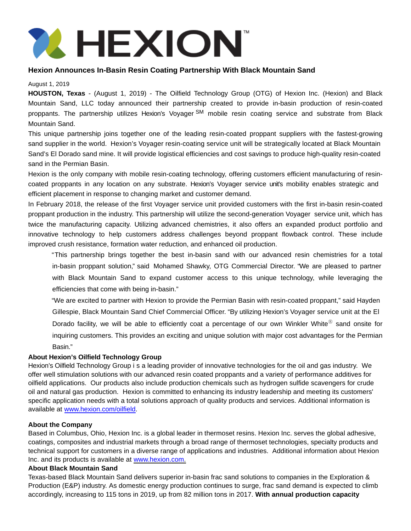

# **Hexion Announces In-Basin Resin Coating Partnership With Black Mountain Sand**

### August 1, 2019

**HOUSTON, Texas** - (August 1, 2019) - The Oilfield Technology Group (OTG) of Hexion Inc. (Hexion) and Black Mountain Sand, LLC today announced their partnership created to provide in-basin production of resin-coated proppants. The partnership utilizes Hexion's Voyager SM mobile resin coating service and substrate from Black Mountain Sand.

This unique partnership joins together one of the leading resin-coated proppant suppliers with the fastest-growing sand supplier in the world. Hexion's Voyager resin-coating service unit will be strategically located at Black Mountain Sand's El Dorado sand mine. It will provide logistical efficiencies and cost savings to produce high-quality resin-coated sand in the Permian Basin.

Hexion is the only company with mobile resin-coating technology, offering customers efficient manufacturing of resincoated proppants in any location on any substrate. Hexion's Voyager service unit's mobility enables strategic and efficient placement in response to changing market and customer demand.

In February 2018, the release of the first Voyager service unit provided customers with the first in-basin resin-coated proppant production in the industry. This partnership will utilize the second-generation Voyager service unit, which has twice the manufacturing capacity. Utilizing advanced chemistries, it also offers an expanded product portfolio and innovative technology to help customers address challenges beyond proppant flowback control. These include improved crush resistance, formation water reduction, and enhanced oil production.

"This partnership brings together the best in-basin sand with our advanced resin chemistries for a total in-basin proppant solution," said Mohamed Shawky, OTG Commercial Director. "We are pleased to partner with Black Mountain Sand to expand customer access to this unique technology, while leveraging the efficiencies that come with being in-basin."

"We are excited to partner with Hexion to provide the Permian Basin with resin-coated proppant," said Hayden Gillespie, Black Mountain Sand Chief Commercial Officer. "By utilizing Hexion's Voyager service unit at the El Dorado facility, we will be able to efficiently coat a percentage of our own Winkler White® sand onsite for inquiring customers. This provides an exciting and unique solution with major cost advantages for the Permian Basin."

## **About Hexion's Oilfield Technology Group**

Hexion's Oilfield Technology Group i s a leading provider of innovative technologies for the oil and gas industry. We offer well stimulation solutions with our advanced resin coated proppants and a variety of performance additives for oilfield applications. Our products also include production chemicals such as hydrogen sulfide scavengers for crude oil and natural gas production. Hexion is committed to enhancing its industry leadership and meeting its customers' specific application needs with a total solutions approach of quality products and services. Additional information is available at [www.hexion.com/oilfield.](http://www.hexion.com/oilfield)

## **About the Company**

Based in Columbus, Ohio, Hexion Inc. is a global leader in thermoset resins. Hexion Inc. serves the global adhesive, coatings, composites and industrial markets through a broad range of thermoset technologies, specialty products and technical support for customers in a diverse range of applications and industries. Additional information about Hexion Inc. and its products is available at www.hexion.com.

## **About Black Mountain Sand**

Texas-based Black Mountain Sand delivers superior in-basin frac sand solutions to companies in the Exploration & Production (E&P) industry. As domestic energy production continues to surge, frac sand demand is expected to climb accordingly, increasing to 115 tons in 2019, up from 82 million tons in 2017. **With annual production capacity**